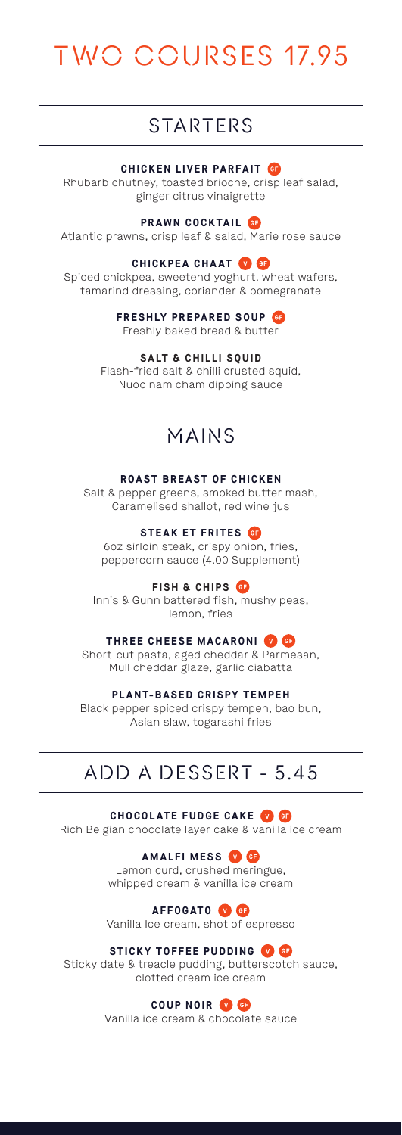# TWO COURSES 17.95

# STARTERS

### **CHICKEN LIVER PARFAIT**

Rhubarb chutney, toasted brioche, crisp leaf salad, ginger citrus vinaigrette

### **PRAWN COCKTAIL**

Atlantic prawns, crisp leaf & salad, Marie rose sauce

### **CHICKPEA CHAAT**

Spiced chickpea, sweetend yoghurt, wheat wafers, tamarind dressing, coriander & pomegranate

> **FRESHLY PREPARED SOUP** Freshly baked bread & butter

> > **SALT & CHILLI SQUID**

Flash-fried salt & chilli crusted squid. Nuoc nam cham dipping sauce

# MAINS

### **ROAST BREAST OF CHICKEN**

Salt & pepper greens, smoked butter mash, Caramelised shallot, red wine jus

**STEAK ET FRITES**

6oz sirloin steak, crispy onion, fries, peppercorn sauce (4.00 Supplement)

**FISH & CHIPS**

Innis & Gunn battered fish, mushy peas, lemon, fries

# **THREE CHEESE MACARONI O**

Short-cut pasta, aged cheddar & Parmesan, Mull cheddar glaze, garlic ciabatta

**PLANT-BASED CRISPY TEMPEH**

Black pepper spiced crispy tempeh, bao bun, Asian slaw, togarashi fries

# ADD A DESSERT - 5.45

**CHOCOLATE FUDGE CAKE**

Rich Belgian chocolate layer cake & vanilla ice cream

**AMALFI MESS** Lemon curd, crushed meringue, whipped cream & vanilla ice cream

**AFFOGATO**<sup>**O**</sup> Vanilla Ice cream, shot of espresso

## **STICKY TOFFEE PUDDING**

Sticky date & treacle pudding, butterscotch sauce, clotted cream ice cream

# **COUP NOIR**

Vanilla ice cream & chocolate sauce